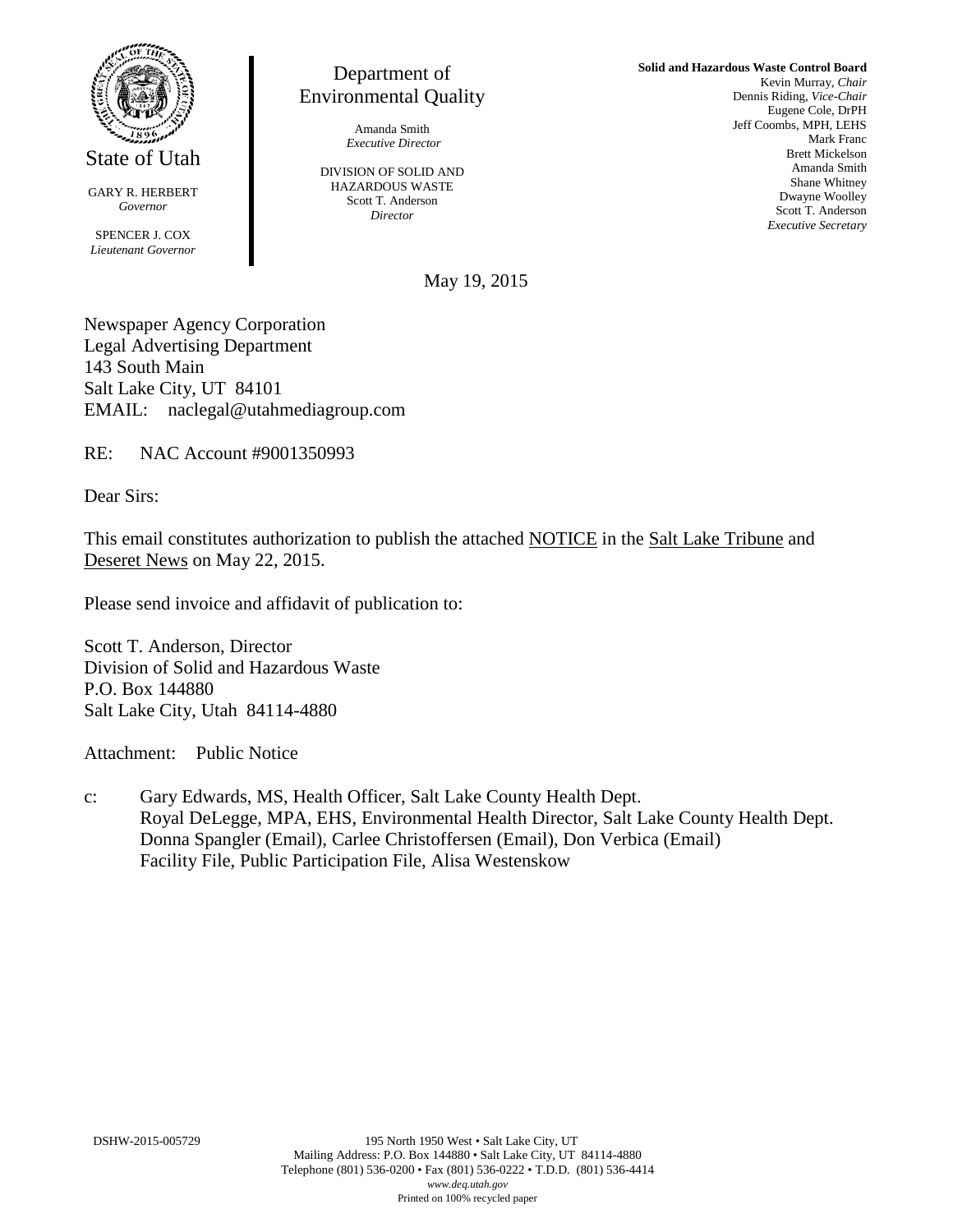

State of Utah

GARY R. HERBERT *Governor*

SPENCER J. COX *Lieutenant Governor*

Department of Environmental Quality

> Amanda Smith *Executive Director*

DIVISION OF SOLID AND HAZARDOUS WASTE Scott T. Anderson *Director*

**Solid and Hazardous Waste Control Board** Kevin Murray, *Chair* Dennis Riding, *Vice-Chair* Eugene Cole, DrPH Jeff Coombs, MPH, LEHS Mark Franc Brett Mickelson Amanda Smith Shane Whitney Dwayne Woolley Scott T. Anderson *Executive Secretary*

May 19, 2015

Newspaper Agency Corporation Legal Advertising Department 143 South Main Salt Lake City, UT 84101 EMAIL: naclegal@utahmediagroup.com

RE: NAC Account #9001350993

Dear Sirs:

This email constitutes authorization to publish the attached NOTICE in the Salt Lake Tribune and Deseret News on May 22, 2015.

Please send invoice and affidavit of publication to:

Scott T. Anderson, Director Division of Solid and Hazardous Waste P.O. Box 144880 Salt Lake City, Utah 84114-4880

Attachment: Public Notice

c: Gary Edwards, MS, Health Officer, Salt Lake County Health Dept. Royal DeLegge, MPA, EHS, Environmental Health Director, Salt Lake County Health Dept. Donna Spangler (Email), Carlee Christoffersen (Email), Don Verbica (Email) Facility File, Public Participation File, Alisa Westenskow